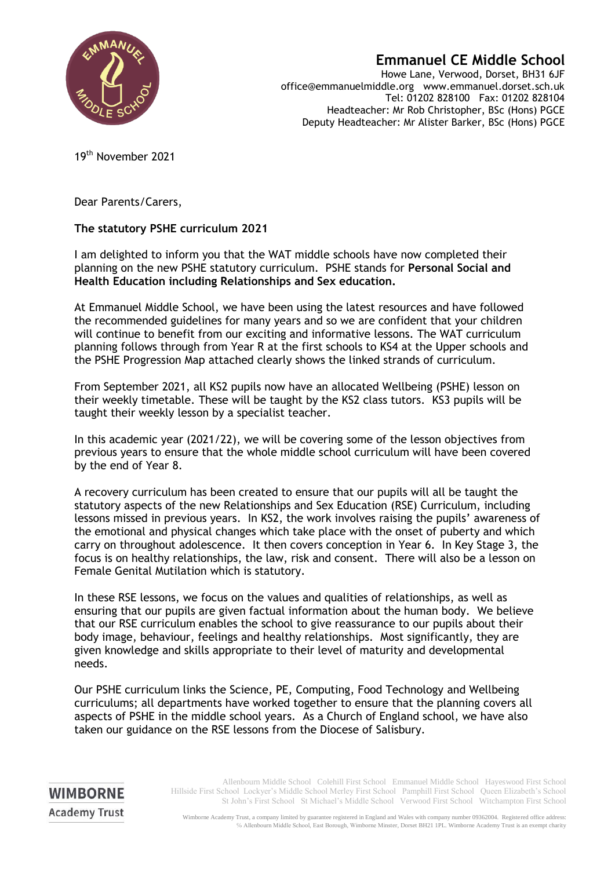

## **Emmanuel CE Middle School**

Howe Lane, Verwood, Dorset, BH31 6JF office@emmanuelmiddle.org www.emmanuel.dorset.sch.uk Tel: 01202 828100 Fax: 01202 828104 Headteacher: Mr Rob Christopher, BSc (Hons) PGCE Deputy Headteacher: Mr Alister Barker, BSc (Hons) PGCE

19th November 2021

Dear Parents/Carers,

**WIMBORNE Academy Trust** 

## **The statutory PSHE curriculum 2021**

I am delighted to inform you that the WAT middle schools have now completed their planning on the new PSHE statutory curriculum. PSHE stands for **Personal Social and Health Education including Relationships and Sex education.**

At Emmanuel Middle School, we have been using the latest resources and have followed the recommended guidelines for many years and so we are confident that your children will continue to benefit from our exciting and informative lessons. The WAT curriculum planning follows through from Year R at the first schools to KS4 at the Upper schools and the PSHE Progression Map attached clearly shows the linked strands of curriculum.

From September 2021, all KS2 pupils now have an allocated Wellbeing (PSHE) lesson on their weekly timetable. These will be taught by the KS2 class tutors. KS3 pupils will be taught their weekly lesson by a specialist teacher.

In this academic year (2021/22), we will be covering some of the lesson objectives from previous years to ensure that the whole middle school curriculum will have been covered by the end of Year 8.

A recovery curriculum has been created to ensure that our pupils will all be taught the statutory aspects of the new Relationships and Sex Education (RSE) Curriculum, including lessons missed in previous years. In KS2, the work involves raising the pupils' awareness of the emotional and physical changes which take place with the onset of puberty and which carry on throughout adolescence. It then covers conception in Year 6. In Key Stage 3, the focus is on healthy relationships, the law, risk and consent. There will also be a lesson on Female Genital Mutilation which is statutory.

In these RSE lessons, we focus on the values and qualities of relationships, as well as ensuring that our pupils are given factual information about the human body. We believe that our RSE curriculum enables the school to give reassurance to our pupils about their body image, behaviour, feelings and healthy relationships. Most significantly, they are given knowledge and skills appropriate to their level of maturity and developmental needs.

Our PSHE curriculum links the Science, PE, Computing, Food Technology and Wellbeing curriculums; all departments have worked together to ensure that the planning covers all aspects of PSHE in the middle school years. As a Church of England school, we have also taken our guidance on the RSE lessons from the Diocese of Salisbury.

> Allenbourn Middle School Colehill First School Emmanuel Middle School Hayeswood First School Hillside First School Lockyer's Middle School Merley First School Pamphill First School Queen Elizabeth's School St John's First School St Michael's Middle School Verwood First School Witchampton First School